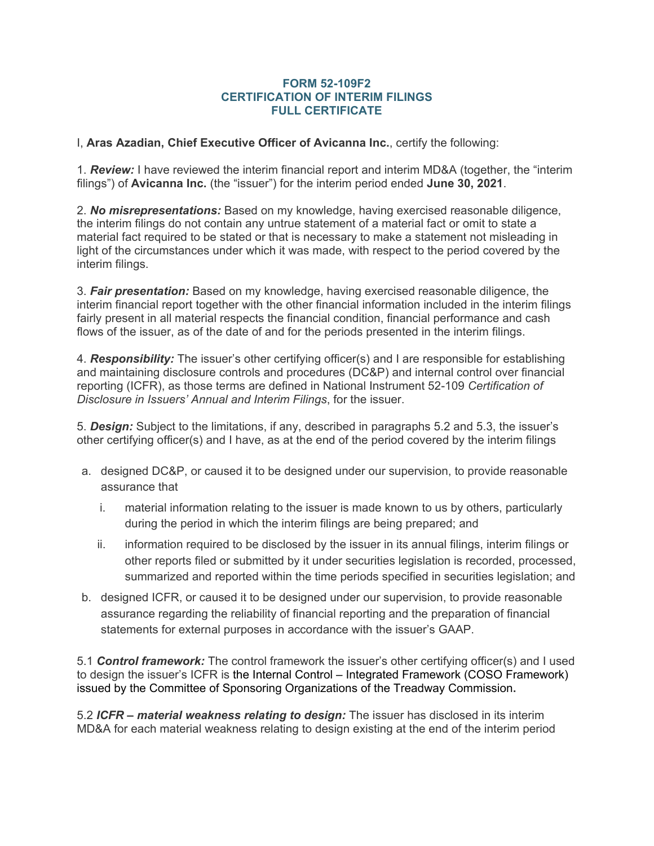## **FORM 52-109F2 CERTIFICATION OF INTERIM FILINGS FULL CERTIFICATE**

I, **Aras Azadian, Chief Executive Officer of Avicanna Inc.**, certify the following:

1. *Review:* I have reviewed the interim financial report and interim MD&A (together, the "interim filings") of **Avicanna Inc.** (the "issuer") for the interim period ended **June 30, 2021**.

2. *No misrepresentations:* Based on my knowledge, having exercised reasonable diligence, the interim filings do not contain any untrue statement of a material fact or omit to state a material fact required to be stated or that is necessary to make a statement not misleading in light of the circumstances under which it was made, with respect to the period covered by the interim filings.

3. *Fair presentation:* Based on my knowledge, having exercised reasonable diligence, the interim financial report together with the other financial information included in the interim filings fairly present in all material respects the financial condition, financial performance and cash flows of the issuer, as of the date of and for the periods presented in the interim filings.

4. *Responsibility:* The issuer's other certifying officer(s) and I are responsible for establishing and maintaining disclosure controls and procedures (DC&P) and internal control over financial reporting (ICFR), as those terms are defined in National Instrument 52-109 *Certification of Disclosure in Issuers' Annual and Interim Filings*, for the issuer.

5. *Design:* Subject to the limitations, if any, described in paragraphs 5.2 and 5.3, the issuer's other certifying officer(s) and I have, as at the end of the period covered by the interim filings

- a. designed DC&P, or caused it to be designed under our supervision, to provide reasonable assurance that
	- i. material information relating to the issuer is made known to us by others, particularly during the period in which the interim filings are being prepared; and
	- ii. information required to be disclosed by the issuer in its annual filings, interim filings or other reports filed or submitted by it under securities legislation is recorded, processed, summarized and reported within the time periods specified in securities legislation; and
- b. designed ICFR, or caused it to be designed under our supervision, to provide reasonable assurance regarding the reliability of financial reporting and the preparation of financial statements for external purposes in accordance with the issuer's GAAP.

5.1 *Control framework:* The control framework the issuer's other certifying officer(s) and I used to design the issuer's ICFR is the Internal Control – Integrated Framework (COSO Framework) issued by the Committee of Sponsoring Organizations of the Treadway Commission**.**

5.2 *ICFR – material weakness relating to design:* The issuer has disclosed in its interim MD&A for each material weakness relating to design existing at the end of the interim period